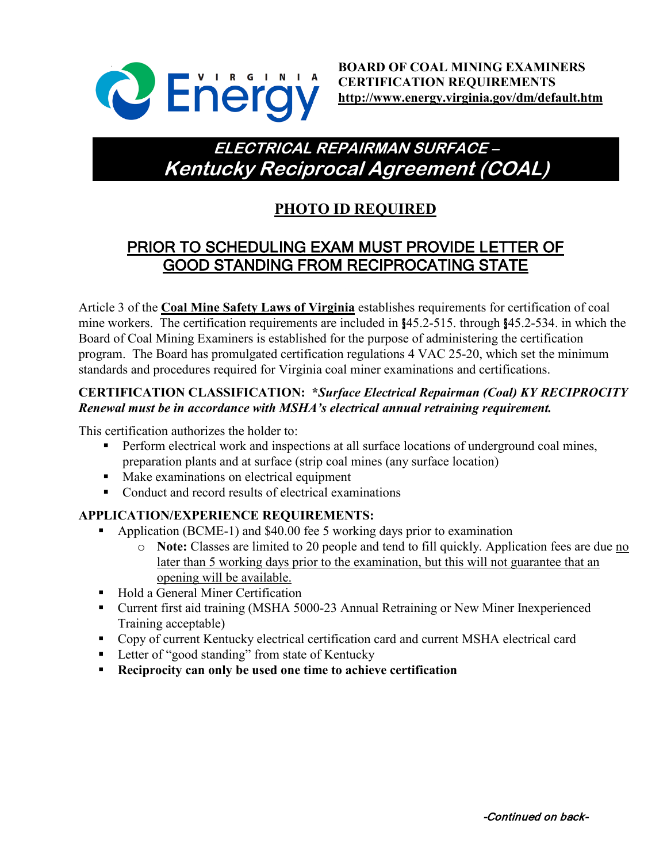

# **ELECTRICAL REPAIRMAN SURFACE – Kentucky Reciprocal Agreement (COAL)**

# **PHOTO ID REQUIRED**

## PRIOR TO SCHEDULING EXAM MUST PROVIDE LETTER OF GOOD STANDING FROM RECIPROCATING STATE

Article 3 of the **Coal Mine Safety Laws of Virginia** establishes requirements for certification of coal mine workers. The certification requirements are included in §45.2-515. through §45.2-534. in which the Board of Coal Mining Examiners is established for the purpose of administering the certification program. The Board has promulgated certification regulations 4 VAC 25-20, which set the minimum standards and procedures required for Virginia coal miner examinations and certifications.

### **CERTIFICATION CLASSIFICATION: \****Surface Electrical Repairman (Coal) KY RECIPROCITY Renewal must be in accordance with MSHA's electrical annual retraining requirement.*

This certification authorizes the holder to:

- Perform electrical work and inspections at all surface locations of underground coal mines, preparation plants and at surface (strip coal mines (any surface location)
- **Make examinations on electrical equipment**
- Conduct and record results of electrical examinations

### **APPLICATION/EXPERIENCE REQUIREMENTS:**

- Application (BCME-1) and \$40.00 fee 5 working days prior to examination
	- o **Note:** Classes are limited to 20 people and tend to fill quickly. Application fees are due no later than 5 working days prior to the examination, but this will not guarantee that an opening will be available.
- Hold a General Miner Certification
- Current first aid training (MSHA 5000-23 Annual Retraining or New Miner Inexperienced Training acceptable)
- Copy of current Kentucky electrical certification card and current MSHA electrical card
- **Letter of "good standing" from state of Kentucky**
- **Reciprocity can only be used one time to achieve certification**